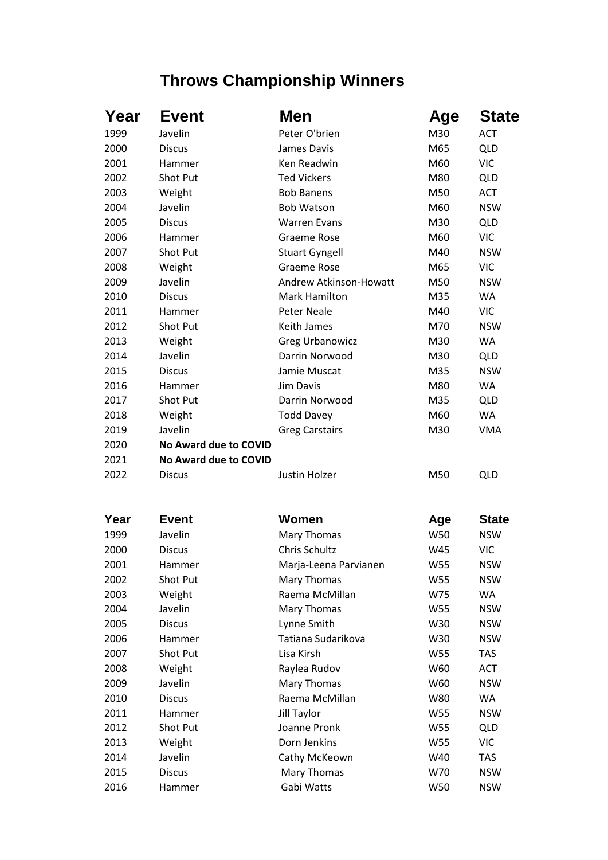## **Throws Championship Winners**

| Year | <b>Event</b>          | Men                    | Age | <b>State</b> |
|------|-----------------------|------------------------|-----|--------------|
| 1999 | Javelin               | Peter O'brien          | M30 | <b>ACT</b>   |
| 2000 | <b>Discus</b>         | James Davis            | M65 | <b>QLD</b>   |
| 2001 | Hammer                | Ken Readwin            | M60 | <b>VIC</b>   |
| 2002 | Shot Put              | <b>Ted Vickers</b>     | M80 | <b>QLD</b>   |
| 2003 | Weight                | <b>Bob Banens</b>      | M50 | <b>ACT</b>   |
| 2004 | Javelin               | <b>Bob Watson</b>      | M60 | <b>NSW</b>   |
| 2005 | <b>Discus</b>         | <b>Warren Evans</b>    | M30 | <b>QLD</b>   |
| 2006 | Hammer                | Graeme Rose            | M60 | <b>VIC</b>   |
| 2007 | Shot Put              | <b>Stuart Gyngell</b>  | M40 | <b>NSW</b>   |
| 2008 | Weight                | <b>Graeme Rose</b>     | M65 | <b>VIC</b>   |
| 2009 | Javelin               | Andrew Atkinson-Howatt | M50 | <b>NSW</b>   |
| 2010 | <b>Discus</b>         | <b>Mark Hamilton</b>   | M35 | <b>WA</b>    |
| 2011 | Hammer                | <b>Peter Neale</b>     | M40 | <b>VIC</b>   |
| 2012 | Shot Put              | Keith James            | M70 | <b>NSW</b>   |
| 2013 | Weight                | <b>Greg Urbanowicz</b> | M30 | <b>WA</b>    |
| 2014 | Javelin               | Darrin Norwood         | M30 | <b>QLD</b>   |
| 2015 | <b>Discus</b>         | Jamie Muscat           | M35 | <b>NSW</b>   |
| 2016 | Hammer                | Jim Davis              | M80 | <b>WA</b>    |
| 2017 | Shot Put              | Darrin Norwood         | M35 | <b>QLD</b>   |
| 2018 | Weight                | <b>Todd Davey</b>      | M60 | WA           |
| 2019 | Javelin               | <b>Greg Carstairs</b>  | M30 | <b>VMA</b>   |
| 2020 | No Award due to COVID |                        |     |              |
| 2021 | No Award due to COVID |                        |     |              |
| 2022 | <b>Discus</b>         | Justin Holzer          | M50 | <b>QLD</b>   |
|      |                       |                        |     |              |
| Year | <b>Event</b>          | Women                  | Age | <b>State</b> |
| 1999 | Javelin               | Mary Thomas            | W50 | <b>NSW</b>   |
| 2000 | <b>Discus</b>         | Chris Schultz          | W45 | <b>VIC</b>   |
| 2001 | Hammer                | Marja-Leena Parvianen  | W55 | <b>NSW</b>   |
| 2002 | Shot Put              | Mary Thomas            | W55 | <b>NSW</b>   |
| 2003 | Weight                | Raema McMillan         | W75 | WA           |
| 2004 | Javelin               | Mary Thomas            | W55 | <b>NSW</b>   |
| 2005 | <b>Discus</b>         | Lynne Smith            | W30 | <b>NSW</b>   |
| 2006 | Hammer                | Tatiana Sudarikova     | W30 | <b>NSW</b>   |
| 2007 | Shot Put              | Lisa Kirsh             | W55 | <b>TAS</b>   |
| 2008 | Weight                | Raylea Rudov           | W60 | <b>ACT</b>   |
| 2009 | Javelin               | Mary Thomas            | W60 | <b>NSW</b>   |
| 2010 | <b>Discus</b>         | Raema McMillan         | W80 | WA           |
| 2011 | Hammer                | Jill Taylor            | W55 | <b>NSW</b>   |
| 2012 | Shot Put              | Joanne Pronk           | W55 | <b>QLD</b>   |
| 2013 | Weight                | Dorn Jenkins           | W55 | <b>VIC</b>   |
| 2014 | Javelin               | Cathy McKeown          | W40 | TAS          |
| 2015 | <b>Discus</b>         | Mary Thomas            | W70 | <b>NSW</b>   |
| 2016 | Hammer                | Gabi Watts             | W50 | <b>NSW</b>   |